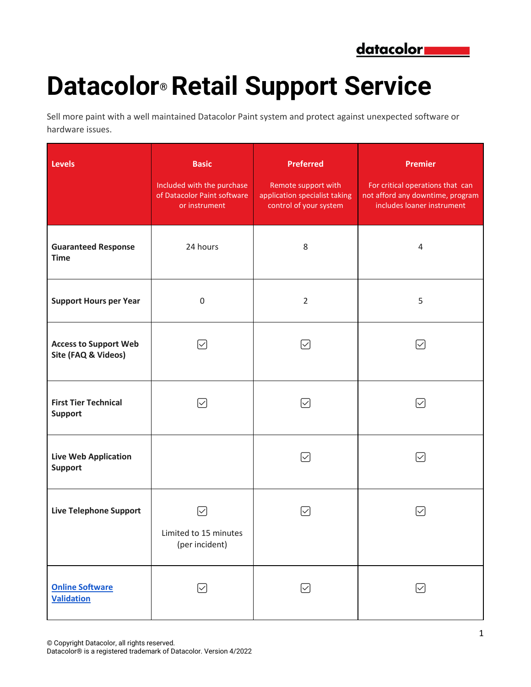

## **Datacolor® Retail Support Service**

Sell more paint with a well maintained Datacolor Paint system and protect against unexpected software or hardware issues.

| <b>Levels</b>                                       | <b>Basic</b><br>Included with the purchase<br>of Datacolor Paint software<br>or instrument | <b>Preferred</b><br>Remote support with<br>application specialist taking<br>control of your system | <b>Premier</b><br>For critical operations that can<br>not afford any downtime, program<br>includes loaner instrument |
|-----------------------------------------------------|--------------------------------------------------------------------------------------------|----------------------------------------------------------------------------------------------------|----------------------------------------------------------------------------------------------------------------------|
| <b>Guaranteed Response</b><br><b>Time</b>           | 24 hours                                                                                   | 8                                                                                                  | 4                                                                                                                    |
| <b>Support Hours per Year</b>                       | $\boldsymbol{0}$                                                                           | $\overline{2}$                                                                                     | 5                                                                                                                    |
| <b>Access to Support Web</b><br>Site (FAQ & Videos) | $\checkmark$                                                                               | $\backsim$                                                                                         | $\checkmark$                                                                                                         |
| <b>First Tier Technical</b><br><b>Support</b>       | $\blacktriangledown$                                                                       | $\mid\!\!\sqrt{ } \mid$                                                                            | $\left[\surd\right]$                                                                                                 |
| <b>Live Web Application</b><br><b>Support</b>       |                                                                                            | $\sim$                                                                                             | $\mid\!\!\sqrt{ } \mid$                                                                                              |
| <b>Live Telephone Support</b>                       | Limited to 15 minutes<br>(per incident)                                                    |                                                                                                    |                                                                                                                      |
| <b>Online Software</b><br><b>Validation</b>         | $\boxdot$                                                                                  | $\lbrack\!\lbrack$                                                                                 | $[\vee]$                                                                                                             |